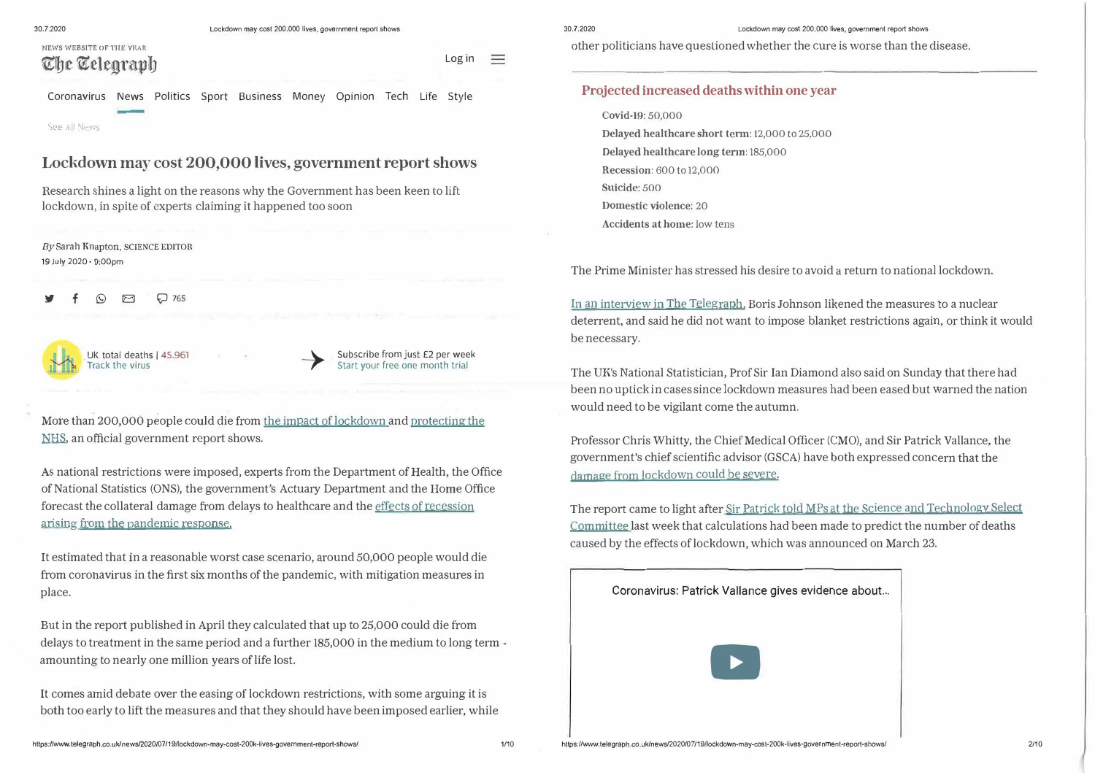**NEWS WEBSITE OF TIIE YEAR**  The Teleoraph  $\Box$ 

 $=$ 

Coronavirus News Politics Sport Business Money Opinion Tech Life Style

See a *I* News

## Lockdown may cost 200,000 lives, government report shows

Research shines a light on the reasons why the Government has been keen to lift lockdown, in spite of experts claiming it happened too soon

*By* Sarah Knapton, SCIENCE EDITOR 19 July 2020 · 9:00pm





UK total deaths |  $45.961$  +  $\longrightarrow$   $\longrightarrow$ 

Subscribe from just £2 per week Start your free one month trial

More than 200,000 people could die from the impact of lockdown and protecting the NHS, an official government report shows.

**As** national restrictions were imposed, experts from the Department of Health, the Office of National Statistics (ONS), the government's Actuary Department and the Horne Office forecast the collateral damage from delays to healthcare and the effects of recessjon arising from the pandemic response.

lt estimated that in a reasonable worst case scenario, around 50,000 people would die from coronavirus in the first six months of the pandemic, with mitigation measures in place.

But in the report published in April they calculated that up to 25,000 could die from delays to treatment in the same period and a further 185,000 in the medium to long term amounting to nearly one million years of life lost.

lt comes amid debate over the easing of lockdown restrictions, with some arguing it is both too early to lift the measures and that they should have been imposed earlier, while

other politicians have questioned whether the eure is worse than the disease.

## **Projccted increased deaths within onc ycar**

**Covid-19:** *50,000*  **Delayed healthcare short term:** 12,000 to 25,000 **Delayed healthcare long tenn:** 185,000 **Recession:** 600 to 12,000 **Suicide:** *500*  **Domestic violence:** 20 **Accidents at home:** low tens

The Prime Minister has stressed his desire to avoid a return to national lockdown.

In an interview in The Telegraph, Boris Johnson likened the measures to a nuclear deterrent, and said he did not want to impose blanket restrictions again, or think it would be necessary.

The UK's National Statistician, Prof Sir Ian Diamond also said on Sunday that there had been no uptick in cases since Iockdown measures had been eased but warned the nation would need to be vigilant come the autumn.

Professor Chris Whitty, the Chief Medical Officer (CMO), and Sir Patrick Vallance, the government's chief scientific advisor (GSCA) have both expressed concern that the damage from lockdown could be severe.

The report came to light after Sir Patrick told MPs at the Science and Technology Select Committee last week that calculations had been made to predict the number of deaths caused by the effects of lockdown, which was announced on March 23.

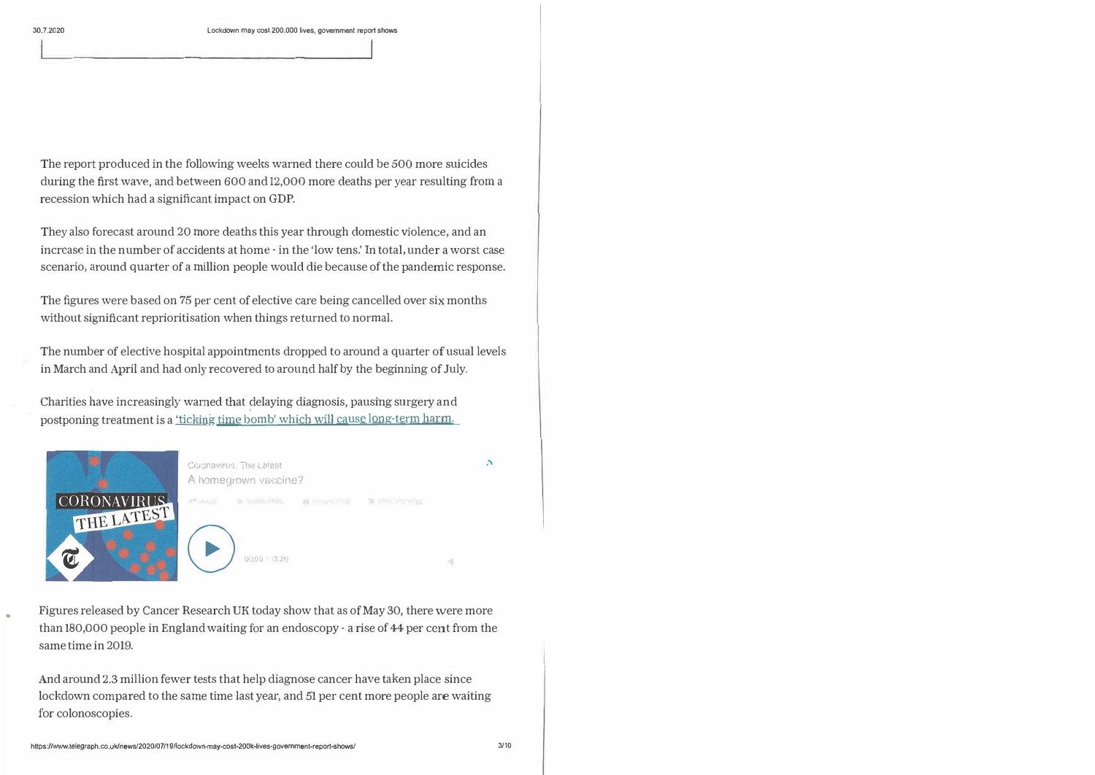The report produced in the following weeks warned there could be 500 more suicides during the first wave, and between 600 and 12,000 more deaths per year resulting from a recession which had a significant impact on GDP.

They also forecast around 20 more deaths this year through domestic violence, and an incrcase in the number of accidents at home - in the 'low tens.' In total, under a worst case scenario, around quarter of a million people would die because of the pandemic response.

The figures were based on 75 per cent of elective care being cancelled over  $six$  months without significant reprioritisation when things returned to normal.

The number of elective hospital appointments dropped to around a quarter of usual levels in March and April and had only recovered to around half by the beginning of July.

Charities have increasingly warned that delaying diagnosis, pausing surgery and postponing treatment is a 'ticking time bomb' which will cause long-term harm.



Figures released by Cancer Research UK today show that as of May 30, there were more than 180,000 people in England waiting for an endoscopy - a rise of 44 per cent from the same time in 2019.

And around 2.3 million fewer tests that help diagnose cancer have taken place since lockdown compared to the same time last year, and 51 per cent more people are waiting for colonoscopies.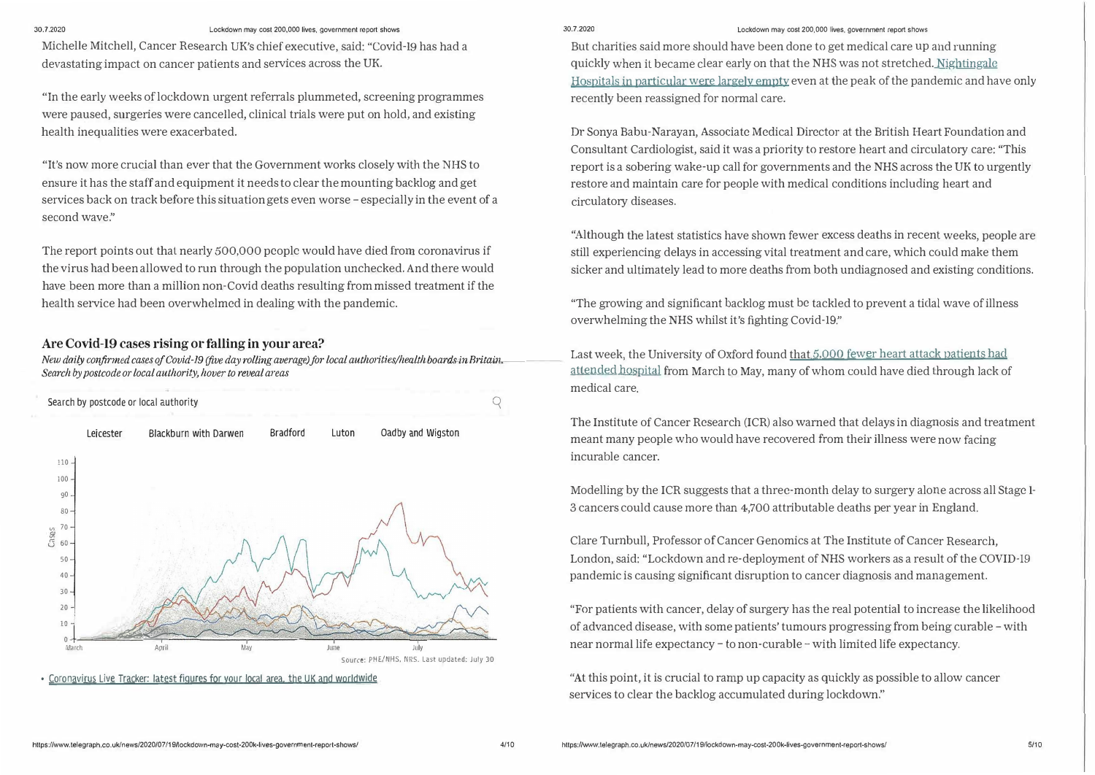#### 30.7.2020 **Lockdown may cost 200,000 llves, govemment report shows**

Michelle MitcheII, Cancer Research UK's chief executive, said: "Covid-19 has bad a devastating impact on cancer patients and services across the UK.

"In the early weeks of lockdown urgent referrals plummeted, screening programmes were paused, surgeries were canceiled, clinical trials were put on hold, and existing health inequalities were exacerbated.

"It's now more crucial than ever that the Government works closely with the NHS to ensure it has the staff and equipment it needs to clear the mounting backlog and get services back on track before this situation gets even worse - especially in the event of a second wave."

The report points out that nearly *500,000* pcople would have died from coronavirus if the virus had been allowed to run through the population unchecked. And there would have been more than a million non-Covid deaths resulting from missed treatment if the health service had been overwhelmed in dealing with the pandemic.

### **Are Covid-19 cases rising or falling in your area?**

*New da.ily conjirmed cases oj Covid-19 (Jive day rolling average)jor local authorities/health boanls inBritain. Search by postcode or local authority, hover to reveal areas* 



• <u>Coronavirus Live Tracker: latest figures for your local area, the UK and worldwide</u>

### 30.7.2020 **Lockdown may cost 200,000 lives, govemment report shows**

But charities said more should have been done to get medical care up and running quickly when it became clear early on that the NHS was not stretched. Nightingale Hospitals in particular were largely empty even at the peak of the pandemic and have only recently been reassigned for normal care.

Dr Sonya Babu-Narayan, Associate Medical Director at the British Heart Foundation and Consultant Cardiologist, said it was a priority to restore heart and circulatory care: "This report is a sobering wake-up call for governments and the NHS across the UK to urgently restore and maintain care for people with medical conditions inclucling heart and circulatory diseases.

"Although the latest statistics have shown fewer excess deaths in recent weeks, people are still experiencing delays in accessing vital treatment and care, which could make them sicker and ultimately lead to more deaths from both undiagnosed and existing conditions.

"The growing and significant backlog must be tackled to prevent a ticlal wave of illness overwhelming the NHS whilst it's fighting Covid-19."

Last week, the University of Oxford found that  $5,000$  fewer heart attack patients had attended hospital from March to May, many of whom could have died through lack of medical care.

The Institute of Cancer Research (ICR) also warned that delays in diagnosis and treatment meant many people who would have recovered from their illness were now facing incurable cancer.

Modelling by the ICR suggests that a three-month delay to surgery alone across all Stage 1- 3 cancers could cause more than 4,700 attributable deaths per year in England.

Clare Turnbull, Professor of Cancer Genomics at The Institute of Cancer Research, London, said: "Lockdown and re-deployment of NHS workers as a result of the COVID-19 pandemic is causing significant disruption to cancer diagnosis and management.

"For patients with cancer, delay of surgery has the real potential to increase the likelihood of advanced disease, with some patients' tumours progressing from being curable - with near normal life expectancy - to non-curable - with limited life expectancy.

"At this point, it is crucial to ramp up capacity as quickly as possible to allow cancer services to clear the backlog accumulated during lockdown."